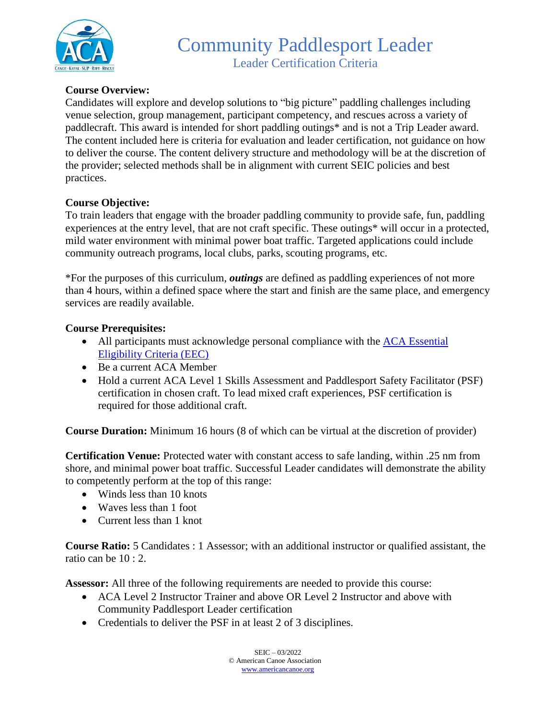

# **Course Overview:**

Candidates will explore and develop solutions to "big picture" paddling challenges including venue selection, group management, participant competency, and rescues across a variety of paddlecraft. This award is intended for short paddling outings\* and is not a Trip Leader award. The content included here is criteria for evaluation and leader certification, not guidance on how to deliver the course. The content delivery structure and methodology will be at the discretion of the provider; selected methods shall be in alignment with current SEIC policies and best practices.

## **Course Objective:**

To train leaders that engage with the broader paddling community to provide safe, fun, paddling experiences at the entry level, that are not craft specific. These outings\* will occur in a protected, mild water environment with minimal power boat traffic. Targeted applications could include community outreach programs, local clubs, parks, scouting programs, etc.

\*For the purposes of this curriculum, *outings* are defined as paddling experiences of not more than 4 hours, within a defined space where the start and finish are the same place, and emergency services are readily available.

## **Course Prerequisites:**

- All participants must acknowledge personal compliance with the ACA Essential [Eligibility Criteria \(EEC\)](https://americancanoe.org/essential-eligibility-criteria/)
- Be a current ACA Member
- Hold a current ACA Level 1 Skills Assessment and Paddlesport Safety Facilitator (PSF) certification in chosen craft. To lead mixed craft experiences, PSF certification is required for those additional craft.

**Course Duration:** Minimum 16 hours (8 of which can be virtual at the discretion of provider)

**Certification Venue:** Protected water with constant access to safe landing, within .25 nm from shore, and minimal power boat traffic. Successful Leader candidates will demonstrate the ability to competently perform at the top of this range:

- Winds less than 10 knots
- Waves less than 1 foot
- Current less than 1 knot

**Course Ratio:** 5 Candidates : 1 Assessor; with an additional instructor or qualified assistant, the ratio can be 10 : 2.

**Assessor:** All three of the following requirements are needed to provide this course:

- ACA Level 2 Instructor Trainer and above OR Level 2 Instructor and above with Community Paddlesport Leader certification
- Credentials to deliver the PSF in at least 2 of 3 disciplines.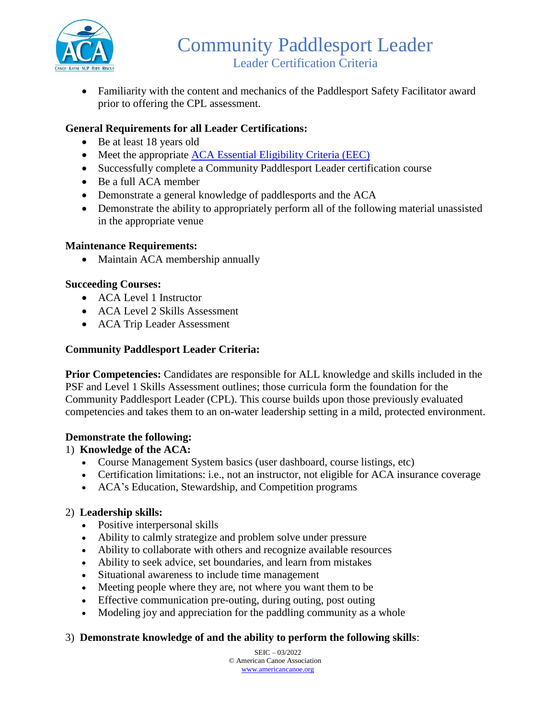

• Familiarity with the content and mechanics of the Paddlesport Safety Facilitator award prior to offering the CPL assessment.

# **General Requirements for all Leader Certifications:**

- Be at least 18 years old
- Meet the appropriate [ACA Essential Eligibility Criteria \(EEC\)](https://americancanoe.org/essential-eligibility-criteria/)
- Successfully complete a Community Paddlesport Leader certification course
- Be a full ACA member
- Demonstrate a general knowledge of paddlesports and the ACA
- Demonstrate the ability to appropriately perform all of the following material unassisted in the appropriate venue

#### **Maintenance Requirements:**

• Maintain ACA membership annually

#### **Succeeding Courses:**

- ACA Level 1 Instructor
- ACA Level 2 Skills Assessment
- ACA Trip Leader Assessment

#### **Community Paddlesport Leader Criteria:**

**Prior Competencies:** Candidates are responsible for ALL knowledge and skills included in the PSF and Level 1 Skills Assessment outlines; those curricula form the foundation for the Community Paddlesport Leader (CPL). This course builds upon those previously evaluated competencies and takes them to an on-water leadership setting in a mild, protected environment.

#### **Demonstrate the following:**

#### 1) **Knowledge of the ACA:**

- Course Management System basics (user dashboard, course listings, etc)
- Certification limitations: i.e., not an instructor, not eligible for ACA insurance coverage
- ACA's Education, Stewardship, and Competition programs

#### 2) **Leadership skills:**

- Positive interpersonal skills
- Ability to calmly strategize and problem solve under pressure
- Ability to collaborate with others and recognize available resources
- Ability to seek advice, set boundaries, and learn from mistakes
- Situational awareness to include time management
- Meeting people where they are, not where you want them to be
- Effective communication pre-outing, during outing, post outing
- Modeling joy and appreciation for the paddling community as a whole

#### 3) **Demonstrate knowledge of and the ability to perform the following skills**:

SEIC – 03/2022 © American Canoe Association [www.americancanoe.org](http://www.americancanoe.org/)